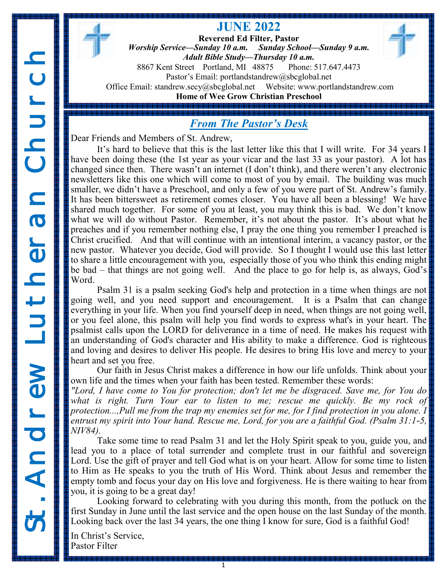**Reverend Ed Filter, Pastor** *Worship Service—Sunday 10 a.m. Sunday School—Sunday 9 a.m. Adult Bible Study—Thursday 10 a.m.* 8867 Kent Street Portland, MI 48875 Phone: 517.647.4473 Pastor's Email: portlandstandrew@sbcglobal.net Office Email: standrew.secy@sbcglobal.net Website: www.portlandstandrew.com **Home of Wee Grow Christian Preschool**

**JUNE 2022**

## *From The Pastor's Desk*

Dear Friends and Members of St. Andrew,

It's hard to believe that this is the last letter like this that I will write. For 34 years I have been doing these (the 1st year as your vicar and the last 33 as your pastor). A lot has changed since then. There wasn't an internet (I don't think), and there weren't any electronic newsletters like this one which will come to most of you by email. The building was much smaller, we didn't have a Preschool, and only a few of you were part of St. Andrew's family. It has been bittersweet as retirement comes closer. You have all been a blessing! We have shared much together. For some of you at least, you may think this is bad. We don't know what we will do without Pastor. Remember, it's not about the pastor. It's about what he preaches and if you remember nothing else, I pray the one thing you remember I preached is Christ crucified. And that will continue with an intentional interim, a vacancy pastor, or the new pastor. Whatever you decide, God will provide. So I thought I would use this last letter to share a little encouragement with you, especially those of you who think this ending might be bad – that things are not going well. And the place to go for help is, as always, God's Word.

Psalm 31 is a psalm seeking God's help and protection in a time when things are not going well, and you need support and encouragement. It is a Psalm that can change everything in your life. When you find yourself deep in need, when things are not going well, or you feel alone, this psalm will help you find words to express what's in your heart. The psalmist calls upon the LORD for deliverance in a time of need. He makes his request with an understanding of God's character and His ability to make a difference. God is righteous and loving and desires to deliver His people. He desires to bring His love and mercy to your heart and set you free.

Our faith in Jesus Christ makes a difference in how our life unfolds. Think about your own life and the times when your faith has been tested. Remember these words:

*"Lord, I have come to You for protection; don't let me be disgraced. Save me, for You do*  what is right. Turn Your ear to listen to me; rescue me quickly. Be my rock of *protection...,Pull me from the trap my enemies set for me, for I find protection in you alone. I entrust my spirit into Your hand. Rescue me, Lord, for you are a faithful God. (Psalm 31:1-5, NIV84).*

Take some time to read Psalm 31 and let the Holy Spirit speak to you, guide you, and lead you to a place of total surrender and complete trust in our faithful and sovereign Lord. Use the gift of prayer and tell God what is on your heart. Allow for some time to listen to Him as He speaks to you the truth of His Word. Think about Jesus and remember the empty tomb and focus your day on His love and forgiveness. He is there waiting to hear from you, it is going to be a great day!

Looking forward to celebrating with you during this month, from the potluck on the first Sunday in June until the last service and the open house on the last Sunday of the month. Looking back over the last 34 years, the one thing I know for sure, God is a faithful God!

In Christ's Service, Pastor Filter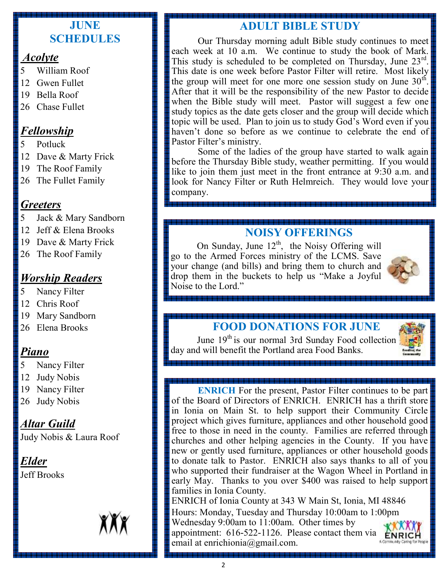#### **JUNE SCHEDULES**

#### *Acolyte*

- 5 William Roof
- 12 Gwen Fullet
- 19 Bella Roof
- 26 Chase Fullet

### *Fellowship*

- 5 Potluck
- 12 Dave & Marty Frick
- 19 The Roof Family
- 26 The Fullet Family

### *Greeters*

- 5 Jack & Mary Sandborn
- 12 Jeff & Elena Brooks
- 19 Dave & Marty Frick
- 26 The Roof Family

## *Worship Readers*

- 5 Nancy Filter
- 12 Chris Roof
- 19 Mary Sandborn
- 26 Elena Brooks

## *Piano*

- 5 Nancy Filter
- 12 Judy Nobis
- 19 Nancy Filter
- 26 Judy Nobis

## *Altar Guild*

Judy Nobis & Laura Roof

#### *Elder* Jeff Brooks

## **ADULT BIBLE STUDY**

Our Thursday morning adult Bible study continues to meet each week at 10 a.m. We continue to study the book of Mark. This study is scheduled to be completed on Thursday, June 23rd. This date is one week before Pastor Filter will retire. Most likely the group will meet for one more one session study on June  $30<sup>th</sup>$ . After that it will be the responsibility of the new Pastor to decide when the Bible study will meet. Pastor will suggest a few one study topics as the date gets closer and the group will decide which topic will be used. Plan to join us to study God's Word even if you haven't done so before as we continue to celebrate the end of Pastor Filter's ministry.

Some of the ladies of the group have started to walk again before the Thursday Bible study, weather permitting. If you would like to join them just meet in the front entrance at 9:30 a.m. and look for Nancy Filter or Ruth Helmreich. They would love your company.

## **NOISY OFFERINGS**

On Sunday, June  $12<sup>th</sup>$ , the Noisy Offering will go to the Armed Forces ministry of the LCMS. Save your change (and bills) and bring them to church and drop them in the buckets to help us "Make a Joyful Noise to the Lord."



## **FOOD DONATIONS FOR JUNE**

June 19<sup>th</sup> is our normal 3rd Sunday Food collection day and will benefit the Portland area Food Banks.



**ENRICH** For the present, Pastor Filter continues to be part of the Board of Directors of ENRICH. ENRICH has a thrift store in Ionia on Main St. to help support their Community Circle project which gives furniture, appliances and other household good free to those in need in the county. Families are referred through churches and other helping agencies in the County. If you have new or gently used furniture, appliances or other household goods to donate talk to Pastor. ENRICH also says thanks to all of you who supported their fundraiser at the Wagon Wheel in Portland in early May. Thanks to you over \$400 was raised to help support families in Ionia County. ENRICH of Ionia County at 343 W Main St, Ionia, MI 48846 Hours: Monday, Tuesday and Thursday 10:00am to 1:00pm Wednesday 9:00am to 11:00am. Other times by

appointment:  $616-522-1126$ . Please contact them via ENR email at enrichionia@gmail.com.

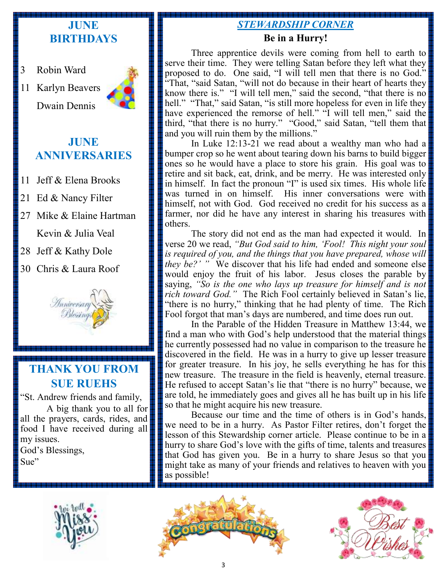## **JUNE BIRTHDAYS**

- 3 Robin Ward
- 11 Karlyn Beavers Dwain Dennis



### **JUNE ANNIVERSARIES**

- 11 Jeff & Elena Brooks
- 21 Ed & Nancy Filter
- 27 Mike & Elaine Hartman Kevin & Julia Veal
- 28 Jeff & Kathy Dole
- 30 Chris & Laura Roof



## **THANK YOU FROM SUE RUEHS**

"St. Andrew friends and family, A big thank you to all for

all the prayers, cards, rides, and food I have received during all my issues. God's Blessings,

Sue"

## *STEWARDSHIP CORNER*

#### **Be in a Hurry!**

Three apprentice devils were coming from hell to earth to serve their time. They were telling Satan before they left what they proposed to do. One said, "I will tell men that there is no God." "That, "said Satan, "will not do because in their heart of hearts they know there is." "I will tell men," said the second, "that there is no hell." "That," said Satan, "is still more hopeless for even in life they have experienced the remorse of hell." "I will tell men," said the third, "that there is no hurry." "Good," said Satan, "tell them that and you will ruin them by the millions."

In Luke 12:13-21 we read about a wealthy man who had a bumper crop so he went about tearing down his barns to build bigger ones so he would have a place to store his grain. His goal was to retire and sit back, eat, drink, and be merry. He was interested only in himself. In fact the pronoun "I" is used six times. His whole life was turned in on himself. His inner conversations were with himself, not with God. God received no credit for his success as a farmer, nor did he have any interest in sharing his treasures with others.

The story did not end as the man had expected it would. In verse 20 we read, *"But God said to him, 'Fool! This night your soul is required of you, and the things that you have prepared, whose will they be?' "* We discover that his life had ended and someone else would enjoy the fruit of his labor. Jesus closes the parable by saying, *"So is the one who lays up treasure for himself and is not rich toward God."* The Rich Fool certainly believed in Satan's lie, "there is no hurry," thinking that he had plenty of time. The Rich Fool forgot that man's days are numbered, and time does run out.

In the Parable of the Hidden Treasure in Matthew 13:44, we find a man who with God's help understood that the material things he currently possessed had no value in comparison to the treasure he discovered in the field. He was in a hurry to give up lesser treasure for greater treasure. In his joy, he sells everything he has for this new treasure. The treasure in the field is heavenly, eternal treasure. He refused to accept Satan's lie that "there is no hurry" because, we are told, he immediately goes and gives all he has built up in his life so that he might acquire his new treasure.

Because our time and the time of others is in God's hands, we need to be in a hurry. As Pastor Filter retires, don't forget the lesson of this Stewardship corner article. Please continue to be in a hurry to share God's love with the gifts of time, talents and treasures that God has given you. Be in a hurry to share Jesus so that you might take as many of your friends and relatives to heaven with you as possible!





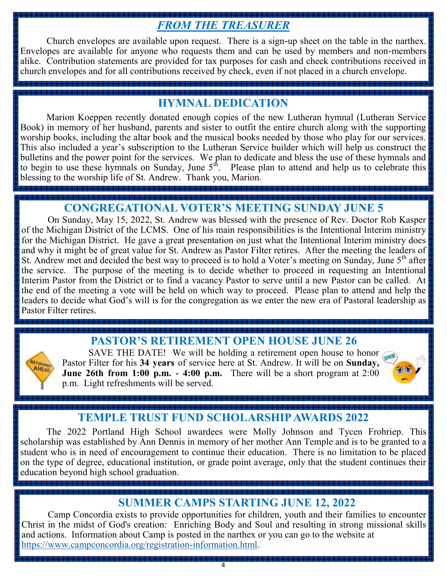# *FROM THE TREASURER*

Church envelopes are available upon request. There is a sign-up sheet on the table in the narthex. Envelopes are available for anyone who requests them and can be used by members and non-members alike. Contribution statements are provided for tax purposes for cash and check contributions received in church envelopes and for all contributions received by check, even if not placed in a church envelope.

### **HYMNAL DEDICATION**

Marion Koeppen recently donated enough copies of the new Lutheran hymnal (Lutheran Service Book) in memory of her husband, parents and sister to outfit the entire church along with the supporting worship books, including the altar book and the musical books needed by those who play for our services. This also included a year's subscription to the Lutheran Service builder which will help us construct the bulletins and the power point for the services. We plan to dedicate and bless the use of these hymnals and to begin to use these hymnals on Sunday, June  $5<sup>th</sup>$ . Please plan to attend and help us to celebrate this blessing to the worship life of St. Andrew. Thank you, Marion.

## **CONGREGATIONAL VOTER'S MEETING SUNDAY JUNE 5**

On Sunday, May 15, 2022, St. Andrew was blessed with the presence of Rev. Doctor Rob Kasper of the Michigan District of the LCMS. One of his main responsibilities is the Intentional Interim ministry for the Michigan District. He gave a great presentation on just what the Intentional Interim ministry does and why it might be of great value for St. Andrew as Pastor Filter retires. After the meeting the leaders of St. Andrew met and decided the best way to proceed is to hold a Voter's meeting on Sunday, June  $5<sup>th</sup>$  after the service. The purpose of the meeting is to decide whether to proceed in requesting an Intentional Interim Pastor from the District or to find a vacancy Pastor to serve until a new Pastor can be called. At the end of the meeting a vote will be held on which way to proceed. Please plan to attend and help the leaders to decide what God's will is for the congregation as we enter the new era of Pastoral leadership as Pastor Filter retires.



## **PASTOR'S RETIREMENT OPEN HOUSE JUNE 26**

SAVE THE DATE! We will be holding a retirement open house to honor Pastor Filter for his **34 years** of service here at St. Andrew. It will be on **Sunday, June 26th from 1:00 p.m. - 4:00 p.m.** There will be a short program at 2:00 p.m. Light refreshments will be served.



## **TEMPLE TRUST FUND SCHOLARSHIP AWARDS 2022**

The 2022 Portland High School awardees were Molly Johnson and Tycen Frohriep. This scholarship was established by Ann Dennis in memory of her mother Ann Temple and is to be granted to a student who is in need of encouragement to continue their education. There is no limitation to be placed on the type of degree, educational institution, or grade point average, only that the student continues their education beyond high school graduation.

## **SUMMER CAMPS STARTING JUNE 12, 2022**

Camp Concordia exists to provide opportunities for children, youth and their families to encounter Christ in the midst of God's creation: Enriching Body and Soul and resulting in strong missional skills and actions. Information about Camp is posted in the narthex or you can go to the website at [https://www.campconcordia.org/registration-information.html.](https://www.campconcordia.org/registration-information.html)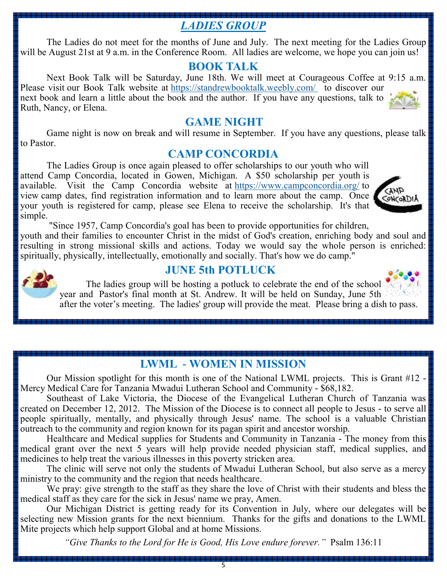## *LADIES GROUP*

The Ladies do not meet for the months of June and July. The next meeting for the Ladies Group will be August 21st at 9 a.m. in the Conference Room. All ladies are welcome, we hope you can join us!

#### **BOOK TALK**

Next Book Talk will be Saturday, June 18th. We will meet at Courageous Coffee at 9:15 a.m. Please visit our Book Talk website at <https://standrewbooktalk.weebly.com/> to discover our next book and learn a little about the book and the author. If you have any questions, talk to Ruth, Nancy, or Elena.

#### **GAME NIGHT**

Game night is now on break and will resume in September. If you have any questions, please talk to Pastor.

#### **CAMP CONCORDIA**

The Ladies Group is once again pleased to offer scholarships to our youth who will attend Camp Concordia, located in Gowen, Michigan. A \$50 scholarship per youth is available. Visit the Camp Concordia website at <https://www.campconcordia.org/> to view camp dates, find registration information and to learn more about the camp. Once your youth is registered for camp, please see Elena to receive the scholarship. It's that simple.



"Since 1957, Camp Concordia's goal has been to provide opportunities for children,

youth and their families to encounter Christ in the midst of God's creation, enriching body and soul and resulting in strong missional skills and actions. Today we would say the whole person is enriched: spiritually, physically, intellectually, emotionally and socially. That's how we do camp."



#### **JUNE 5th POTLUCK**

The ladies group will be hosting a potluck to celebrate the end of the school year and Pastor's final month at St. Andrew. It will be held on Sunday, June 5th after the voter's meeting. The ladies' group will provide the meat. Please bring a dish to pass.

## **LWML - WOMEN IN MISSION**

Our Mission spotlight for this month is one of the National LWML projects. This is Grant #12 - Mercy Medical Care for Tanzania Mwadui Lutheran School and Community - \$68,182.

Southeast of Lake Victoria, the Diocese of the Evangelical Lutheran Church of Tanzania was created on December 12, 2012. The Mission of the Diocese is to connect all people to Jesus - to serve all people spiritually, mentally, and physically through Jesus' name. The school is a valuable Christian outreach to the community and region known for its pagan spirit and ancestor worship.

Healthcare and Medical supplies for Students and Community in Tanzania - The money from this medical grant over the next 5 years will help provide needed physician staff, medical supplies, and medicines to help treat the various illnesses in this poverty stricken area.

The clinic will serve not only the students of Mwadui Lutheran School, but also serve as a mercy ministry to the community and the region that needs healthcare.

We pray: give strength to the staff as they share the love of Christ with their students and bless the medical staff as they care for the sick in Jesus' name we pray, Amen.

Our Michigan District is getting ready for its Convention in July, where our delegates will be selecting new Mission grants for the next biennium. Thanks for the gifts and donations to the LWML Mite projects which help support Global and at home Missions.

*"Give Thanks to the Lord for He is Good, His Love endure forever."* Psalm 136:11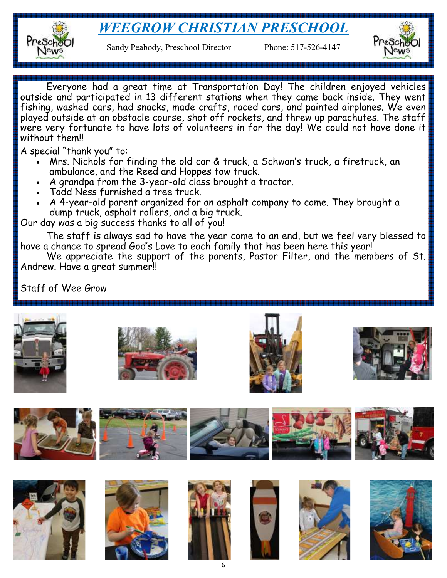# *WEEGROW CHRISTIAN PRESCHOOL*



Sandy Peabody, Preschool Director Phone: 517-526-4147



Everyone had a great time at Transportation Day! The children enjoyed vehicles outside and participated in 13 different stations when they came back inside. They went fishing, washed cars, had snacks, made crafts, raced cars, and painted airplanes. We even played outside at an obstacle course, shot off rockets, and threw up parachutes. The staff were very fortunate to have lots of volunteers in for the day! We could not have done it without them!!

A special "thank you" to:

- Mrs. Nichols for finding the old car & truck, a Schwan's truck, a firetruck, an ambulance, and the Reed and Hoppes tow truck.
- A grandpa from the 3-year-old class brought a tractor.
- Todd Ness furnished a tree truck.
- A 4-year-old parent organized for an asphalt company to come. They brought a dump truck, asphalt rollers, and a big truck.

Our day was a big success thanks to all of you!

The staff is always sad to have the year come to an end, but we feel very blessed to have a chance to spread God's Love to each family that has been here this year!

We appreciate the support of the parents, Pastor Filter, and the members of St. Andrew. Have a great summer!!

Staff of Wee Grow





















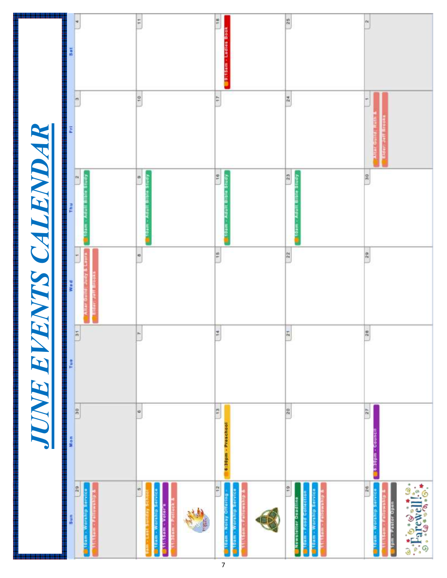|                                                                                                                                                                                                                                                                                                                                                                                                                                                                               |                                      |                  | JUNE EVENTS CALENDAR |                                     |                |               |
|-------------------------------------------------------------------------------------------------------------------------------------------------------------------------------------------------------------------------------------------------------------------------------------------------------------------------------------------------------------------------------------------------------------------------------------------------------------------------------|--------------------------------------|------------------|----------------------|-------------------------------------|----------------|---------------|
| Sun                                                                                                                                                                                                                                                                                                                                                                                                                                                                           | Mon                                  | Tue              | wee                  | Thu                                 | E              |               |
| 129<br><b>Working Service</b>                                                                                                                                                                                                                                                                                                                                                                                                                                                 | $\frac{30}{3}$                       | $\frac{1}{2}$    | Assecutions          | $\mathbf{P}$<br>ding<br>etaris line | $\mathfrak{m}$ | ×             |
| m<br>toam - Workhassevice<br><b>Tippy</b> Mess. It<br>大学                                                                                                                                                                                                                                                                                                                                                                                                                      | $\circ$                              |                  | B                    | ä<br>Silve)                         | 10             | Ħ             |
| 12                                                                                                                                                                                                                                                                                                                                                                                                                                                                            | $\frac{m}{t}$                        | 14               | 15                   | 16                                  | $\frac{1}{2}$  | 16            |
| <b>MOTHING GIVESN</b><br><b>Buildary Offering</b><br>j<br>5                                                                                                                                                                                                                                                                                                                                                                                                                   | lookpsead - magetig                  |                  |                      | <b>April</b>                        |                |               |
| $\frac{9}{10}$                                                                                                                                                                                                                                                                                                                                                                                                                                                                | 20                                   | $\frac{\pi}{24}$ | $\frac{22}{3}$       | 23                                  | $\frac{24}{3}$ | $\frac{1}{2}$ |
| toam - Workhip Service<br>Pood Collection<br><b>Company of the United States</b><br><b>Nowsletter Deadline</b><br>Sam                                                                                                                                                                                                                                                                                                                                                         |                                      |                  |                      | Kpntg etgra                         |                |               |
| $\frac{96}{14}$<br>Service<br><b>Tom - Pastor Open</b><br><b>Moralitie</b>                                                                                                                                                                                                                                                                                                                                                                                                    | $\frac{27}{25}$<br>19.30pm - Gouncil | $\sqrt{28}$      | 2.9                  | $\frac{9}{n}$                       |                | e4.           |
| ś<br>$\begin{array}{l} \frac{1}{2} \left( \frac{1}{2} \right) \left( \frac{1}{2} \right) \left( \frac{1}{2} \right) \left( \frac{1}{2} \right) \left( \frac{1}{2} \right) \left( \frac{1}{2} \right) \left( \frac{1}{2} \right) \left( \frac{1}{2} \right) \left( \frac{1}{2} \right) \left( \frac{1}{2} \right) \left( \frac{1}{2} \right) \left( \frac{1}{2} \right) \left( \frac{1}{2} \right) \left( \frac{1}{2} \right) \left( \frac{1}{2} \right) \left( \frac{1}{2} \$ |                                      |                  |                      |                                     |                |               |